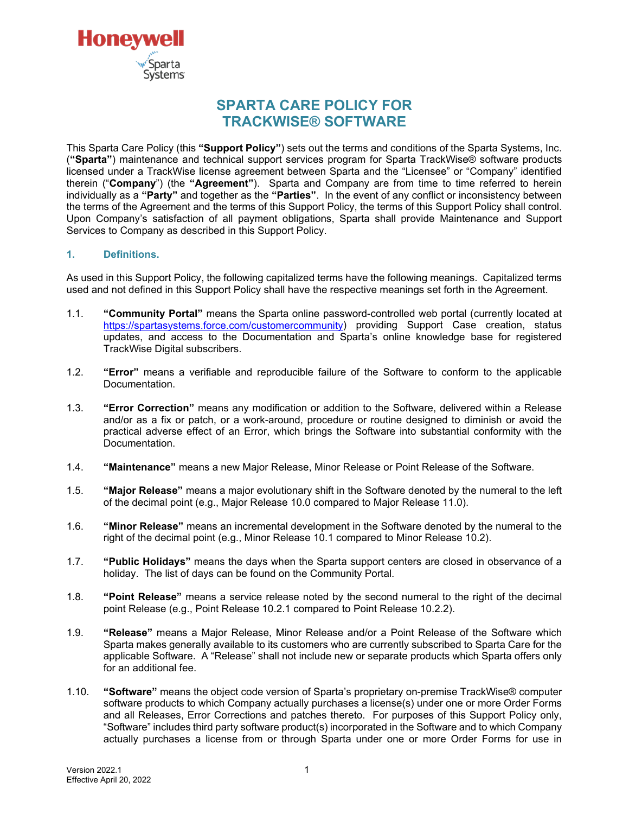

# **SPARTA CARE POLICY FOR TRACKWISE® SOFTWARE**

This Sparta Care Policy (this **"Support Policy"**) sets out the terms and conditions of the Sparta Systems, Inc. (**"Sparta"**) maintenance and technical support services program for Sparta TrackWise® software products licensed under a TrackWise license agreement between Sparta and the "Licensee" or "Company" identified therein ("**Company**") (the **"Agreement"**). Sparta and Company are from time to time referred to herein individually as a **"Party"** and together as the **"Parties"**. In the event of any conflict or inconsistency between the terms of the Agreement and the terms of this Support Policy, the terms of this Support Policy shall control. Upon Company's satisfaction of all payment obligations, Sparta shall provide Maintenance and Support Services to Company as described in this Support Policy.

# **1. Definitions.**

As used in this Support Policy, the following capitalized terms have the following meanings. Capitalized terms used and not defined in this Support Policy shall have the respective meanings set forth in the Agreement.

- 1.1. **"Community Portal"** means the Sparta online password-controlled web portal (currently located at [https://spartasystems.force.com/customercommunity\)](https://spartasystems.force.com/customercommunity) providing Support Case creation, status updates, and access to the Documentation and Sparta's online knowledge base for registered TrackWise Digital subscribers.
- 1.2. **"Error"** means a verifiable and reproducible failure of the Software to conform to the applicable Documentation.
- 1.3. **"Error Correction"** means any modification or addition to the Software, delivered within a Release and/or as a fix or patch, or a work-around, procedure or routine designed to diminish or avoid the practical adverse effect of an Error, which brings the Software into substantial conformity with the Documentation.
- 1.4. **"Maintenance"** means a new Major Release, Minor Release or Point Release of the Software.
- 1.5. **"Major Release"** means a major evolutionary shift in the Software denoted by the numeral to the left of the decimal point (e.g., Major Release 10.0 compared to Major Release 11.0).
- 1.6. **"Minor Release"** means an incremental development in the Software denoted by the numeral to the right of the decimal point (e.g., Minor Release 10.1 compared to Minor Release 10.2).
- 1.7. **"Public Holidays"** means the days when the Sparta support centers are closed in observance of a holiday. The list of days can be found on the Community Portal.
- 1.8. **"Point Release"** means a service release noted by the second numeral to the right of the decimal point Release (e.g., Point Release 10.2.1 compared to Point Release 10.2.2).
- 1.9. **"Release"** means a Major Release, Minor Release and/or a Point Release of the Software which Sparta makes generally available to its customers who are currently subscribed to Sparta Care for the applicable Software. A "Release" shall not include new or separate products which Sparta offers only for an additional fee.
- 1.10. **"Software"** means the object code version of Sparta's proprietary on-premise TrackWise® computer software products to which Company actually purchases a license(s) under one or more Order Forms and all Releases, Error Corrections and patches thereto. For purposes of this Support Policy only, "Software" includes third party software product(s) incorporated in the Software and to which Company actually purchases a license from or through Sparta under one or more Order Forms for use in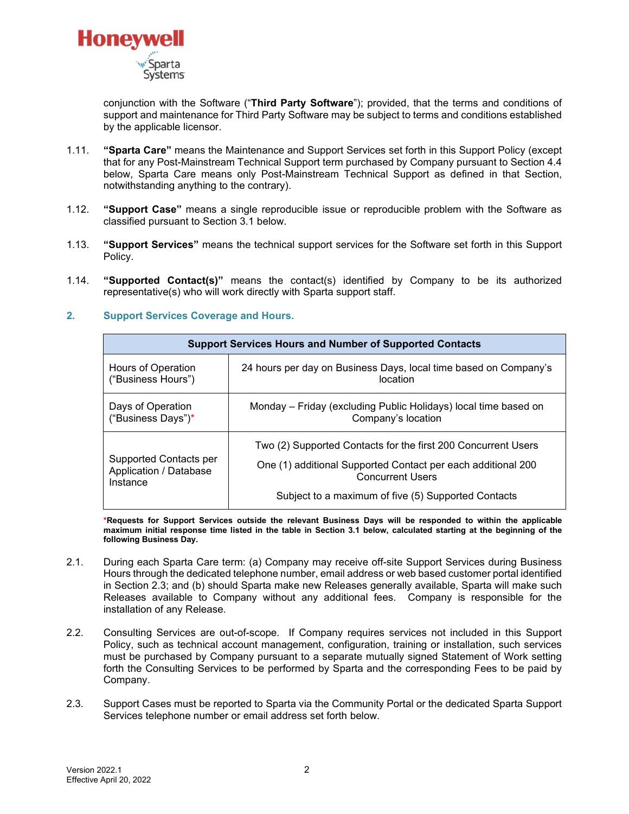

conjunction with the Software ("**Third Party Software**"); provided, that the terms and conditions of support and maintenance for Third Party Software may be subject to terms and conditions established by the applicable licensor.

- 1.11. **"Sparta Care"** means the Maintenance and Support Services set forth in this Support Policy (except that for any Post-Mainstream Technical Support term purchased by Company pursuant to Section 4.4 below, Sparta Care means only Post-Mainstream Technical Support as defined in that Section, notwithstanding anything to the contrary).
- 1.12. **"Support Case"** means a single reproducible issue or reproducible problem with the Software as classified pursuant to Section 3.1 below.
- 1.13. **"Support Services"** means the technical support services for the Software set forth in this Support Policy.
- 1.14. **"Supported Contact(s)"** means the contact(s) identified by Company to be its authorized representative(s) who will work directly with Sparta support staff.
- **2. Support Services Coverage and Hours.**

| <b>Support Services Hours and Number of Supported Contacts</b> |                                                                                                                                                                                                                 |  |
|----------------------------------------------------------------|-----------------------------------------------------------------------------------------------------------------------------------------------------------------------------------------------------------------|--|
| Hours of Operation                                             | 24 hours per day on Business Days, local time based on Company's                                                                                                                                                |  |
| ("Business Hours")                                             | location                                                                                                                                                                                                        |  |
| Days of Operation                                              | Monday – Friday (excluding Public Holidays) local time based on                                                                                                                                                 |  |
| ("Business Days")*                                             | Company's location                                                                                                                                                                                              |  |
| Supported Contacts per<br>Application / Database<br>Instance   | Two (2) Supported Contacts for the first 200 Concurrent Users<br>One (1) additional Supported Contact per each additional 200<br><b>Concurrent Users</b><br>Subject to a maximum of five (5) Supported Contacts |  |

**\*Requests for Support Services outside the relevant Business Days will be responded to within the applicable maximum initial response time listed in the table in Section 3.1 below, calculated starting at the beginning of the following Business Day.**

- 2.1. During each Sparta Care term: (a) Company may receive off-site Support Services during Business Hours through the dedicated telephone number, email address or web based customer portal identified in Section 2.3; and (b) should Sparta make new Releases generally available, Sparta will make such Releases available to Company without any additional fees. Company is responsible for the installation of any Release.
- 2.2. Consulting Services are out-of-scope. If Company requires services not included in this Support Policy, such as technical account management, configuration, training or installation, such services must be purchased by Company pursuant to a separate mutually signed Statement of Work setting forth the Consulting Services to be performed by Sparta and the corresponding Fees to be paid by Company.
- 2.3. Support Cases must be reported to Sparta via the Community Portal or the dedicated Sparta Support Services telephone number or email address set forth below.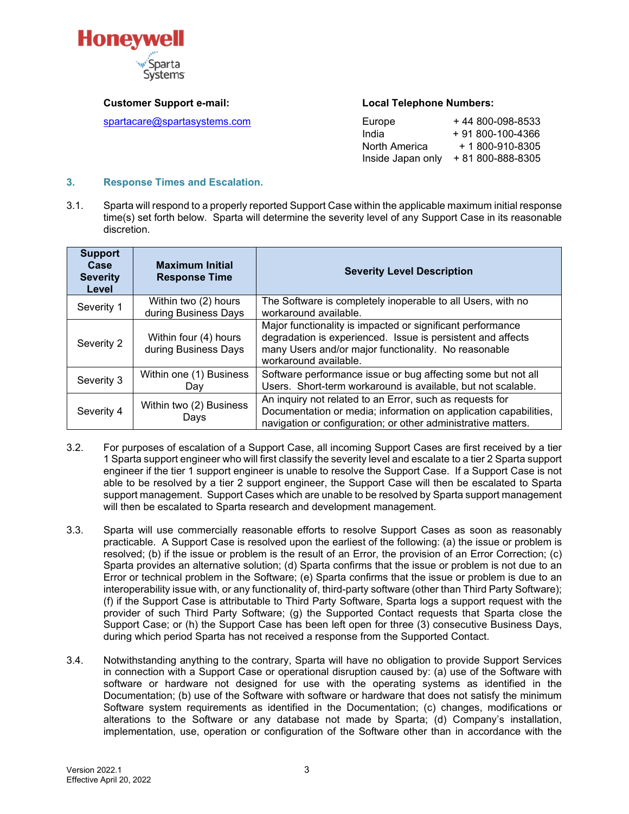

 $spartacare@spartasystems.com$ 

#### **Customer Support e-mail: Local Telephone Numbers:**

| Europe            | +44 800-098-8533      |
|-------------------|-----------------------|
| India             | + 91 800-100-4366     |
| North America     | $+ 1800 - 910 - 8305$ |
| Inside Japan only | + 81 800-888-8305     |

#### **3. Response Times and Escalation.**

3.1. Sparta will respond to a properly reported Support Case within the applicable maximum initial response time(s) set forth below. Sparta will determine the severity level of any Support Case in its reasonable discretion.

| <b>Support</b><br>Case<br><b>Severity</b><br>Level | <b>Maximum Initial</b><br><b>Response Time</b> | <b>Severity Level Description</b>                                                                                                                                                                          |
|----------------------------------------------------|------------------------------------------------|------------------------------------------------------------------------------------------------------------------------------------------------------------------------------------------------------------|
| Severity 1                                         | Within two (2) hours<br>during Business Days   | The Software is completely inoperable to all Users, with no<br>workaround available.                                                                                                                       |
| Severity 2                                         | Within four (4) hours<br>during Business Days  | Major functionality is impacted or significant performance<br>degradation is experienced. Issue is persistent and affects<br>many Users and/or major functionality. No reasonable<br>workaround available. |
| Severity 3                                         | Within one (1) Business<br>Day                 | Software performance issue or bug affecting some but not all<br>Users. Short-term workaround is available, but not scalable.                                                                               |
| Severity 4                                         | Within two (2) Business<br>Days                | An inquiry not related to an Error, such as requests for<br>Documentation or media; information on application capabilities,<br>navigation or configuration; or other administrative matters.              |

- 3.2. For purposes of escalation of a Support Case, all incoming Support Cases are first received by a tier 1 Sparta support engineer who will first classify the severity level and escalate to a tier 2 Sparta support engineer if the tier 1 support engineer is unable to resolve the Support Case. If a Support Case is not able to be resolved by a tier 2 support engineer, the Support Case will then be escalated to Sparta support management. Support Cases which are unable to be resolved by Sparta support management will then be escalated to Sparta research and development management.
- 3.3. Sparta will use commercially reasonable efforts to resolve Support Cases as soon as reasonably practicable. A Support Case is resolved upon the earliest of the following: (a) the issue or problem is resolved; (b) if the issue or problem is the result of an Error, the provision of an Error Correction; (c) Sparta provides an alternative solution; (d) Sparta confirms that the issue or problem is not due to an Error or technical problem in the Software; (e) Sparta confirms that the issue or problem is due to an interoperability issue with, or any functionality of, third-party software (other than Third Party Software); (f) if the Support Case is attributable to Third Party Software, Sparta logs a support request with the provider of such Third Party Software; (g) the Supported Contact requests that Sparta close the Support Case; or (h) the Support Case has been left open for three (3) consecutive Business Days, during which period Sparta has not received a response from the Supported Contact.
- 3.4. Notwithstanding anything to the contrary, Sparta will have no obligation to provide Support Services in connection with a Support Case or operational disruption caused by: (a) use of the Software with software or hardware not designed for use with the operating systems as identified in the Documentation; (b) use of the Software with software or hardware that does not satisfy the minimum Software system requirements as identified in the Documentation; (c) changes, modifications or alterations to the Software or any database not made by Sparta; (d) Company's installation, implementation, use, operation or configuration of the Software other than in accordance with the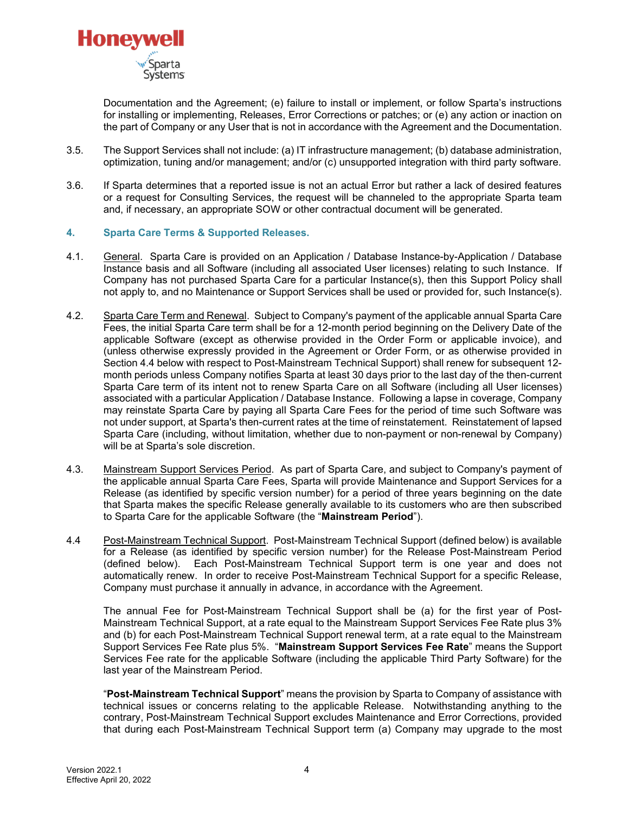

Documentation and the Agreement; (e) failure to install or implement, or follow Sparta's instructions for installing or implementing, Releases, Error Corrections or patches; or (e) any action or inaction on the part of Company or any User that is not in accordance with the Agreement and the Documentation.

- 3.5. The Support Services shall not include: (a) IT infrastructure management; (b) database administration, optimization, tuning and/or management; and/or (c) unsupported integration with third party software.
- 3.6. If Sparta determines that a reported issue is not an actual Error but rather a lack of desired features or a request for Consulting Services, the request will be channeled to the appropriate Sparta team and, if necessary, an appropriate SOW or other contractual document will be generated.

### **4. Sparta Care Terms & Supported Releases.**

- 4.1. General. Sparta Care is provided on an Application / Database Instance-by-Application / Database Instance basis and all Software (including all associated User licenses) relating to such Instance. If Company has not purchased Sparta Care for a particular Instance(s), then this Support Policy shall not apply to, and no Maintenance or Support Services shall be used or provided for, such Instance(s).
- 4.2. Sparta Care Term and Renewal. Subject to Company's payment of the applicable annual Sparta Care Fees, the initial Sparta Care term shall be for a 12-month period beginning on the Delivery Date of the applicable Software (except as otherwise provided in the Order Form or applicable invoice), and (unless otherwise expressly provided in the Agreement or Order Form, or as otherwise provided in Section 4.4 below with respect to Post-Mainstream Technical Support) shall renew for subsequent 12 month periods unless Company notifies Sparta at least 30 days prior to the last day of the then-current Sparta Care term of its intent not to renew Sparta Care on all Software (including all User licenses) associated with a particular Application / Database Instance. Following a lapse in coverage, Company may reinstate Sparta Care by paying all Sparta Care Fees for the period of time such Software was not under support, at Sparta's then-current rates at the time of reinstatement. Reinstatement of lapsed Sparta Care (including, without limitation, whether due to non-payment or non-renewal by Company) will be at Sparta's sole discretion.
- 4.3. Mainstream Support Services Period. As part of Sparta Care, and subject to Company's payment of the applicable annual Sparta Care Fees, Sparta will provide Maintenance and Support Services for a Release (as identified by specific version number) for a period of three years beginning on the date that Sparta makes the specific Release generally available to its customers who are then subscribed to Sparta Care for the applicable Software (the "**Mainstream Period**").
- 4.4 Post-Mainstream Technical Support. Post-Mainstream Technical Support (defined below) is available for a Release (as identified by specific version number) for the Release Post-Mainstream Period (defined below). Each Post-Mainstream Technical Support term is one year and does not automatically renew. In order to receive Post-Mainstream Technical Support for a specific Release, Company must purchase it annually in advance, in accordance with the Agreement.

The annual Fee for Post-Mainstream Technical Support shall be (a) for the first year of Post-Mainstream Technical Support, at a rate equal to the Mainstream Support Services Fee Rate plus 3% and (b) for each Post-Mainstream Technical Support renewal term, at a rate equal to the Mainstream Support Services Fee Rate plus 5%. "**Mainstream Support Services Fee Rate**" means the Support Services Fee rate for the applicable Software (including the applicable Third Party Software) for the last year of the Mainstream Period.

"**Post-Mainstream Technical Support**" means the provision by Sparta to Company of assistance with technical issues or concerns relating to the applicable Release. Notwithstanding anything to the contrary, Post-Mainstream Technical Support excludes Maintenance and Error Corrections, provided that during each Post-Mainstream Technical Support term (a) Company may upgrade to the most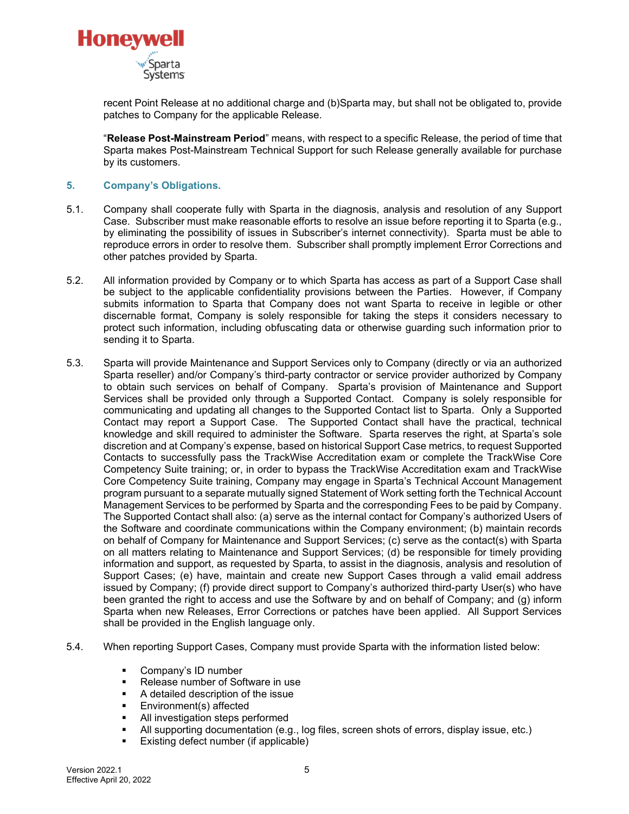

recent Point Release at no additional charge and (b)Sparta may, but shall not be obligated to, provide patches to Company for the applicable Release.

"**Release Post-Mainstream Period**" means, with respect to a specific Release, the period of time that Sparta makes Post-Mainstream Technical Support for such Release generally available for purchase by its customers.

## **5. Company's Obligations.**

- 5.1. Company shall cooperate fully with Sparta in the diagnosis, analysis and resolution of any Support Case. Subscriber must make reasonable efforts to resolve an issue before reporting it to Sparta (e.g., by eliminating the possibility of issues in Subscriber's internet connectivity). Sparta must be able to reproduce errors in order to resolve them. Subscriber shall promptly implement Error Corrections and other patches provided by Sparta.
- 5.2. All information provided by Company or to which Sparta has access as part of a Support Case shall be subject to the applicable confidentiality provisions between the Parties. However, if Company submits information to Sparta that Company does not want Sparta to receive in legible or other discernable format, Company is solely responsible for taking the steps it considers necessary to protect such information, including obfuscating data or otherwise guarding such information prior to sending it to Sparta.
- 5.3. Sparta will provide Maintenance and Support Services only to Company (directly or via an authorized Sparta reseller) and/or Company's third-party contractor or service provider authorized by Company to obtain such services on behalf of Company. Sparta's provision of Maintenance and Support Services shall be provided only through a Supported Contact. Company is solely responsible for communicating and updating all changes to the Supported Contact list to Sparta. Only a Supported Contact may report a Support Case. The Supported Contact shall have the practical, technical knowledge and skill required to administer the Software. Sparta reserves the right, at Sparta's sole discretion and at Company's expense, based on historical Support Case metrics, to request Supported Contacts to successfully pass the TrackWise Accreditation exam or complete the TrackWise Core Competency Suite training; or, in order to bypass the TrackWise Accreditation exam and TrackWise Core Competency Suite training, Company may engage in Sparta's Technical Account Management program pursuant to a separate mutually signed Statement of Work setting forth the Technical Account Management Services to be performed by Sparta and the corresponding Fees to be paid by Company. The Supported Contact shall also: (a) serve as the internal contact for Company's authorized Users of the Software and coordinate communications within the Company environment; (b) maintain records on behalf of Company for Maintenance and Support Services; (c) serve as the contact(s) with Sparta on all matters relating to Maintenance and Support Services; (d) be responsible for timely providing information and support, as requested by Sparta, to assist in the diagnosis, analysis and resolution of Support Cases; (e) have, maintain and create new Support Cases through a valid email address issued by Company; (f) provide direct support to Company's authorized third-party User(s) who have been granted the right to access and use the Software by and on behalf of Company; and (g) inform Sparta when new Releases, Error Corrections or patches have been applied. All Support Services shall be provided in the English language only.
- 5.4. When reporting Support Cases, Company must provide Sparta with the information listed below:
	- **Company's ID number**
	- Release number of Software in use
	- A detailed description of the issue
	- Environment(s) affected
	- All investigation steps performed
	- All supporting documentation (e.g., log files, screen shots of errors, display issue, etc.)
	- **Existing defect number (if applicable)**